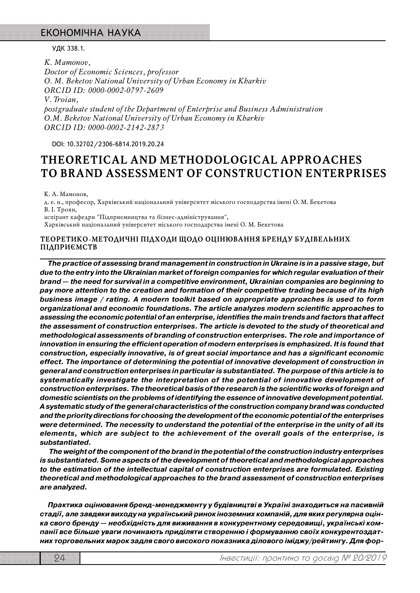### ЕКОНОМІЧНА НАУКА

УДК 338.1.

*K. Mamonov, Doctor of Economic Sciences, professor O. M. Beketov National University of Urban Economy in Kharkiv ORCID ID: 0000-0002-0797-2609 V. Troian, postgraduate student of the Department of Enterprise and Business Administration O.M. Beketov National University of Urban Economy in Kharkiv ORCID ID: 0000-0002-2142-2873* 

DOI: 10.32702/23066814.2019.20.24

# **THEORETICAL AND METHODOLOGICAL APPROACHES TO BRAND ASSESSMENT OF CONSTRUCTION ENTERPRISES**

К. А. Мамонов,

д. е. н., професор, Харківський національний університет міського господарства імені О. М. Бекетова В. І. Троян,

аспірант кафедри "Підприємництва та бізнес-адміністрування",

Харківський національний університет міського господарства імені О. М. Бекетова

### **ТЕОРЕТИКО@МЕТОДИЧНІ ПІДХОДИ ЩОДО ОЦІНЮВАННЯ БРЕНДУ БУДІВЕЛЬНИХ ПІДПРИЄМСТВ**

*The practice of assessing brand management in construction in Ukraine is in a passive stage, but due to the entry into the Ukrainian market of foreign companies for which regular evaluation of their brand — the need for survival in a competitive environment, Ukrainian companies are beginning to pay more attention to the creation and formation of their competitive trading because of its high business image / rating. A modern toolkit based on appropriate approaches is used to form organizational and economic foundations. The article analyzes modern scientific approaches to assessing the economic potential of an enterprise, identifies the main trends and factors that affect the assessment of construction enterprises. The article is devoted to the study of theoretical and methodological assessments of branding of construction enterprises. The role and importance of innovation in ensuring the efficient operation of modern enterprises is emphasized. It is found that construction, especially innovative, is of great social importance and has a significant economic effect. The importance of determining the potential of innovative development of construction in general and construction enterprises in particular is substantiated. The purpose of this article is to systematically investigate the interpretation of the potential of innovative development of construction enterprises. The theoretical basis of the research is the scientific works of foreign and domestic scientists on the problems of identifying the essence of innovative development potential. A systematic study of the general characteristics of the construction company brand was conducted and the priority directions for choosing the development of the economic potential of the enterprises were determined. The necessity to understand the potential of the enterprise in the unity of all its elements, which are subject to the achievement of the overall goals of the enterprise, is substantiated.*

 *The weight of the component of the brand in the potential of the construction industry enterprises is substantiated. Some aspects of the development of theoretical and methodological approaches to the estimation of the intellectual capital of construction enterprises are formulated. Existing theoretical and methodological approaches to the brand assessment of construction enterprises are analyzed.*

*Практика оцінювання бренд"менеджменту у будівництві в Україні знаходиться на пасивній стадії, але завдяки виходу на український ринок іноземних компаній, для яких регулярна оцін" ка свого бренду — необхідність для виживання в конкурентному середовищі, українські ком" панії все більше уваги починають приділяти створенню і формуванню своїх конкурентоздат" них торговельних марок задля свого високого показника ділового іміджу/рейтингу. Для фор"*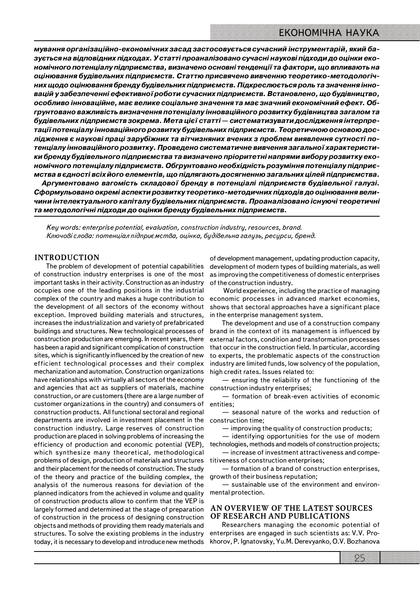*мування організаційно"економічних засад застосовується сучасний інструментарій, який ба" зується на відповідних підходах. У статті проаналізовано сучасні наукові підходи до оцінки еко" номічного потенціалу підприємства, визначено основні тенденції та фактори, що впливають на оцінювання будівельних підприємств. Статтю присвячено вивченню теоретико"методологіч" них щодо оцінювання бренду будівельних підприємств. Підкреслюється роль та значення інно" вацій у забезпеченні ефективної роботи сучасних підприємств. Встановлено, що будівництво, особливо інноваційне, має велике соціальне значення та має значний економічний ефект. Об" грунтовано важливість визначення потенціалу інноваційного розвитку будівництва загалом та будівельних підприємств зокрема. Мета цієї статті — систематизувати дослідження інтерпре" тації потенціалу інноваційного розвитку будівельних підприємств. Теоретичною основою дос"* лідження є наукові праці зарубіжних та вітчизняних вчених з проблем виявлення сутності по*тенціалу інноваційного розвитку. Проведено систематичне вивчення загальної характеристи" ки бренду будівельного підприємства та визначено пріоритетні напрями вибору розвитку еко" номічного потенціалу підприємств. Обгрунтовано необхідність розуміння потенціалу підприє" мства в єдності всіх його елементів, що підлягають досягненню загальних цілей підприємства.*

*Аргументовано вагомість складової бренду в потенціалі підприємств будівельної галузі.* Сформульовано окремі аспекти розвитку теоретико-методичних підходів до оцінювання вели*чини інтелектуального капіталу будівельних підприємств. Проаналізовано існуючі теоретичні та методологічні підходи до оцінки бренду будівельних підприємств.*

*Key words: enterprise potential, evaluation, construction industry, resources, brand. Ключові слова: потенціал підприємства, оцінка, будівельна галузь, ресурси, бренд.*

### **INTRODUCTION**

The problem of development of potential capabilities of construction industry enterprises is one of the most important tasks in their activity. Construction as an industry occupies one of the leading positions in the industrial complex of the country and makes a huge contribution to the development of all sectors of the economy without exception. Improved building materials and structures, increases the industrialization and variety of prefabricated buildings and structures. New technological processes of construction production are emerging. In recent years, there has been a rapid and significant complication of construction sites, which is significantly influenced by the creation of new efficient technological processes and their complex mechanization and automation. Construction organizations have relationships with virtually all sectors of the economy and agencies that act as suppliers of materials, machine construction, or are customers (there are a large number of customer organizations in the country) and consumers of construction products. All functional sectoral and regional departments are involved in investment placement in the construction time; construction industry. Large reserves of construction production are placed in solving problems of increasing the efficiency of production and economic potential (VEP), which synthesize many theoretical, methodological problems of design, production of materials and structures and their placement for the needs of construction. The study of the theory and practice of the building complex, the analysis of the numerous reasons for deviation of the planned indicators from the achieved in volume and quality of construction products allow to confirm that the VEP is largely formed and determined at the stage of preparation of construction in the process of designing construction objects and methods of providing them ready materials and structures. To solve the existing problems in the industry today, it is necessary to develop and introduce new methods

of development management, updating production capacity, development of modern types of building materials, as well as improving the competitiveness of domestic enterprises of the construction industry.

 World experience, including the practice of managing economic processes in advanced market economies, shows that sectoral approaches have a significant place in the enterprise management system.

The development and use of a construction company brand in the context of its management is influenced by external factors, condition and transformation processes that occur in the construction field. In particular, according to experts, the problematic aspects of the construction industry are limited funds, low solvency of the population, high credit rates. Issues related to:

— ensuring the reliability of the functioning of the construction industry enterprises;

— formation of breakeven activities of economic entities;

— seasonal nature of the works and reduction of

— improving the quality of construction products;

— identifying opportunities for the use of modern technologies, methods and models of construction projects;

— increase of investment attractiveness and compe titiveness of construction enterprises;

— formation of a brand of construction enterprises, growth of their business reputation;

— sustainable use of the environment and environ mental protection.

### **AN OVERVIEW OF THE LATEST SOURCES OF RESEARCH AND PUBLICATIONS**

Researchers managing the economic potential of enterprises are engaged in such scientists as: V.V. Pro khorov, P. Ignatovsky, Yu.M. Derevyanko, O.V. Bozhanova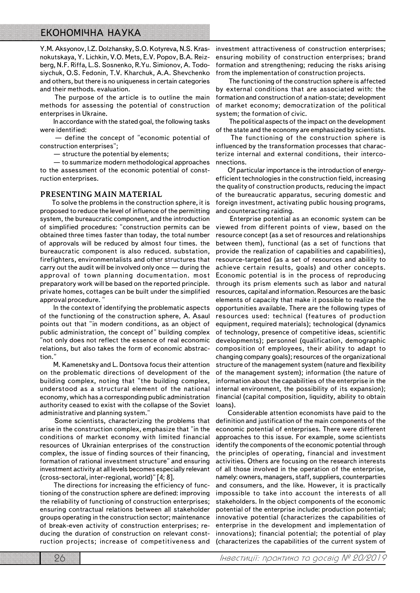## ЕКОНОМІЧНА НАУКА

Y.M. Aksyonov, I.Z. Dolzhansky, S.O. Kotyreva, N.S. Kras nokutskaya, Y. Lichkin, V.O. Mets, E.V. Popov, B.A. Reiz berg, N.F. Riffa, L.S. Sosnenko, R.Yu. Simionov, A. Todo siychuk, O.S. Fedonin, T.V. Kharchuk, A.A. Shevchenko and others, but there is no uniqueness in certain categories and their methods. evaluation.

 The purpose of the article is to outline the main methods for assessing the potential of construction enterprises in Ukraine.

 In accordance with the stated goal, the following tasks were identified:

 — define the concept of "economic potential of construction enterprises";

— structure the potential by elements;

 — to summarize modern methodological approaches to the assessment of the economic potential of const ruction enterprises.

#### **PRESENTING MAIN MATERIAL**

To solve the problems in the construction sphere, it is proposed to reduce the level of influence of the permitting system, the bureaucratic component, and the introduction of simplified procedures: "construction permits can be obtained three times faster than today, the total number of approvals will be reduced by almost four times. the bureaucratic component is also reduced. substation, firefighters, environmentalists and other structures that carry out the audit will be involved only once — during the approval of town planning documentation. most preparatory work will be based on the reported principle. private homes, cottages can be built under the simplified approval procedure.

 In the context of identifying the problematic aspects of the functioning of the construction sphere, A. Asaul points out that "in modern conditions, as an object of public administration, the concept of" building complex "not only does not reflect the essence of real economic relations, but also takes the form of economic abstrac tion."

 M. Kamenetsky and L. Dontsova focus their attention on the problematic directions of development of the building complex, noting that "the building complex, understood as a structural element of the national economy, which has a corresponding public administration authority ceased to exist with the collapse of the Soviet administrative and planning system."

 Some scientists, characterizing the problems that arise in the construction complex, emphasize that "in the conditions of market economy with limited financial resources of Ukrainian enterprises of the construction complex, the issue of finding sources of their financing, formation of rational investment structure" and ensuring investment activity at all levels becomes especially relevant (cross-sectoral, inter-regional, world)" [4; 8].

 The directions for increasing the efficiency of func tioning of the construction sphere are defined: improving the reliability of functioning of construction enterprises; ensuring contractual relations between all stakeholder groups operating in the construction sector; maintenance of breakeven activity of construction enterprises; re ducing the duration of construction on relevant const ruction projects; increase of competitiveness and

investment attractiveness of construction enterprises; ensuring mobility of construction enterprises; brand formation and strengthening; reducing the risks arising from the implementation of construction projects.

 The functioning of the construction sphere is affected by external conditions that are associated with: the formation and construction of a nation-state; development of market economy; democratization of the political system; the formation of civic.

 The political aspects of the impact on the development of the state and the economy are emphasized by scientists.

 The functioning of the construction sphere is influenced by the transformation processes that charac terize internal and external conditions, their interco nnections.

Of particular importance is the introduction of energy efficient technologies in the construction field, increasing the quality of construction products, reducing the impact of the bureaucratic apparatus, securing domestic and foreign investment, activating public housing programs, and counteracting raiding.

 Enterprise potential as an economic system can be viewed from different points of view, based on the resource concept (as a set of resources and relationships between them), functional (as a set of functions that provide the realization of capabilities and capabilities), resource-targeted (as a set of resources and ability to achieve certain results, goals) and other concepts. Economic potential is in the process of reproducing through its prism elements such as labor and natural resources, capital and information. Resources are the basic elements of capacity that make it possible to realize the opportunities available. There are the following types of resources used: technical (features of production equipment, required materials); technological (dynamics of technology, presence of competitive ideas, scientific developments); personnel (qualification, demographic composition of employees, their ability to adapt to changing company goals); resources of the organizational structure of the management system (nature and flexibility of the management system); information (the nature of information about the capabilities of the enterprise in the internal environment, the possibility of its expansion); financial (capital composition, liquidity, ability to obtain loans).

Considerable attention economists have paid to the definition and justification of the main components of the economic potential of enterprises. There were different approaches to this issue. For example, some scientists identify the components of the economic potential through the principles of operating, financial and investment activities. Others are focusing on the research interests of all those involved in the operation of the enterprise, namely: owners, managers, staff, suppliers, counterparties and consumers, and the like. However, it is practically impossible to take into account the interests of all stakeholders. In the object components of the economic potential of the enterprise include: production potential; innovative potential (characterizes the capabilities of enterprise in the development and implementation of innovations); financial potential; the potential of play (characterizes the capabilities of the current system of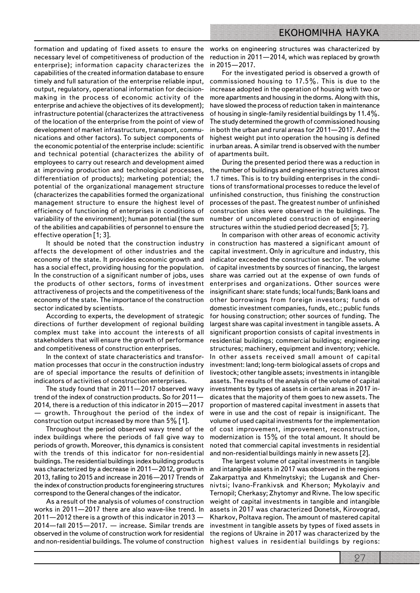necessary level of competitiveness of production of the reduction in 2011—2014, which was replaced by growth enterprise); information capacity characterizes the capabilities of the created information database to ensure timely and full saturation of the enterprise reliable input, output, regulatory, operational information for decision making in the process of economic activity of the enterprise and achieve the objectives of its development); infrastructure potential (characterizes the attractiveness of the location of the enterprise from the point of view of development of market infrastructure, transport, commu nications and other factors). To subject components of the economic potential of the enterprise include: scientific and technical potential (characterizes the ability of employees to carry out research and development aimed at improving production and technological processes, differentiation of products); marketing potential; the potential of the organizational management structure (characterizes the capabilities formed the organizational management structure to ensure the highest level of efficiency of functioning of enterprises in conditions of variability of the environment); human potential (the sum of the abilities and capabilities of personnel to ensure the effective operation [1; 3].

It should be noted that the construction industry affects the development of other industries and the economy of the state. It provides economic growth and has a social effect, providing housing for the population. In the construction of a significant number of jobs, uses the products of other sectors, forms of investment attractiveness of projects and the competitiveness of the economy of the state. The importance of the construction sector indicated by scientists.

According to experts, the development of strategic directions of further development of regional building complex must take into account the interests of all stakeholders that will ensure the growth of performance and competitiveness of construction enterprises.

In the context of state characteristics and transformation processes that occur in the construction industry are of special importance the results of definition of indicators of activities of construction enterprises.

The study found that in 2011—2017 observed wavy trend of the index of construction products. So for 2011— 2014, there is a reduction of this indicator in 2015—2017 — growth. Throughout the period of the index of construction output increased by more than 5% [1].

Throughout the period observed wavy trend of the index buildings where the periods of fall give way to periods of growth. Moreover, this dynamics is consistent with the trends of this indicator for nonresidential buildings. The residential buildings index building products was characterized by a decrease in 2011—2012, growth in 2013, falling to 2015 and increase in 2016—2017 Trends of the index of construction products for engineering structures correspond to the General changes of the indicator.

As a result of the analysis of volumes of construction works in 2011-2017 there are also wave-like trend. In 2011—2012 there is a growth of this indicator in 2013 — 2014—fall 2015—2017. — increase. Similar trends are observed in the volume of construction work for residential and nonresidential buildings. The volume of construction

formation and updating of fixed assets to ensure the works on engineering structures was characterized by in 2015—2017.

> For the investigated period is observed a growth of commissioned housing to 17.5%. This is due to the increase adopted in the operation of housing with two or more apartments and housing in the dorms. Along with this, have slowed the process of reduction taken in maintenance of housing in single-family residential buildings by  $11.4\%$ . The study determined the growth of commissioned housing in both the urban and rural areas for 2011—2017. And the highest weight put into operation the housing is defined in urban areas. A similar trend is observed with the number of apartments built.

> During the presented period there was a reduction in the number of buildings and engineering structures almost 1.7 times. This is to try building enterprises in the condi tions of transformational processes to reduce the level of unfinished construction, thus finishing the construction processes of the past. The greatest number of unfinished construction sites were observed in the buildings. The number of uncompleted construction of engineering structures within the studied period decreased [5; 7].

> In comparison with other areas of economic activity in construction has mastered a significant amount of capital investment. Only in agriculture and industry, this indicator exceeded the construction sector. The volume of capital investments by sources of financing, the largest share was carried out at the expense of own funds of enterprises and organizations. Other sources were insignificant share: state funds; local funds; Bank loans and other borrowings from foreign investors; funds of domestic investment companies, funds, etc.; public funds for housing construction; other sources of funding. The largest share was capital investment in tangible assets. A significant proportion consists of capital investments in residential buildings; commercial buildings; engineering structures; machinery, equipment and inventory; vehicle. In other assets received small amount of capital investment: land; long-term biological assets of crops and livestock; other tangible assets; investments in intangible assets. The results of the analysis of the volume of capital investments by types of assets in certain areas in 2017 in dicates that the majority of them goes to new assets. The proportion of mastered capital investment in assets that were in use and the cost of repair is insignificant. The volume of used capital investments for the implementation of cost improvement, improvement, reconstruction, modernization is 15% of the total amount. It should be noted that commercial capital investments in residential and non-residential buildings mainly in new assets [2].

> The largest volume of capital investments in tangible and intangible assets in 2017 was observed in the regions Zakarpattya and Khmelnytskyi; the Lugansk and Cher nivtsi; IvanoFrankivsk and Kherson; Mykolayiv and Ternopil; Cherkasy; Zhytomyr and Rivne. The low specific weight of capital investments in tangible and intangible assets in 2017 was characterized Donetsk, Kirovograd, Kharkov, Poltava region. The amount of mastered capital investment in tangible assets by types of fixed assets in the regions of Ukraine in 2017 was characterized by the highest values in residential buildings by regions: